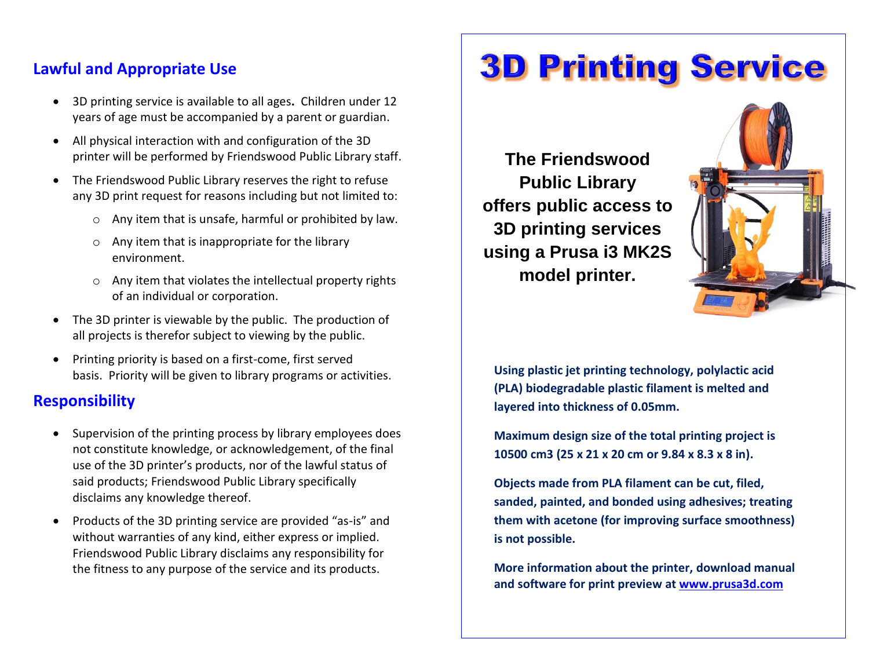## **Lawful and Appropriate Use**

- 3D printing service is available to all ages**.** Children under 12 years of age must be accompanied by a parent or guardian.
- All physical interaction with and configuration of the 3D printer will be performed by Friendswood Public Library staff.
- The Friendswood Public Library reserves the right to refuse any 3D print request for reasons including but not limited to:
	- o Any item that is unsafe, harmful or prohibited by law.
	- $\circ$  Any item that is inappropriate for the library environment.
	- o Any item that violates the intellectual property rights of an individual or corporation.
- The 3D printer is viewable by the public. The production of all projects is therefor subject to viewing by the public.
- Printing priority is based on a first-come, first served basis. Priority will be given to library programs or activities.

# **Responsibility**

- Supervision of the printing process by library employees does not constitute knowledge, or acknowledgement, of the final use of the 3D printer's products, nor of the lawful status of said products; Friendswood Public Library specifically disclaims any knowledge thereof.
- Products of the 3D printing service are provided "as-is" and without warranties of any kind, either express or implied. Friendswood Public Library disclaims any responsibility for the fitness to any purpose of the service and its products.

# **3D Printing Service**

**The Friendswood Public Library offers public access to 3D printing services using a Prusa i3 MK2S model printer.**



**Using plastic jet printing technology, polylactic acid (PLA) biodegradable plastic filament is melted and layered into thickness of 0.05mm.**

**Maximum design size of the total printing project is 10500 cm3 (25 x 21 x 20 cm or 9.84 x 8.3 x 8 in).**

**Objects made from PLA filament can be cut, filed, sanded, painted, and bonded using adhesives; treating them with acetone (for improving surface smoothness) is not possible.** 

**More information about the printer, download manual and software for print preview at [www.prusa3d.com](http://www.prusa3d.com/)**